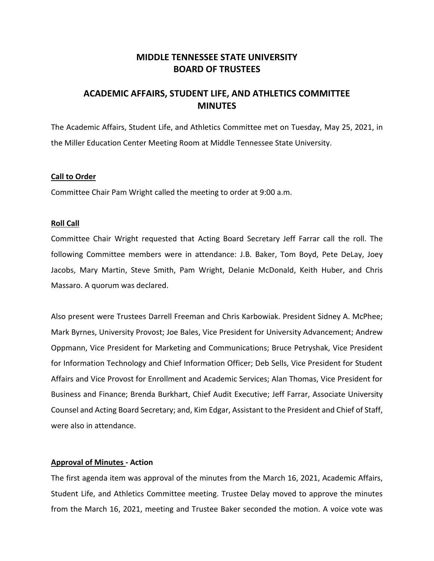# **MIDDLE TENNESSEE STATE UNIVERSITY BOARD OF TRUSTEES**

# **ACADEMIC AFFAIRS, STUDENT LIFE, AND ATHLETICS COMMITTEE MINUTES**

The Academic Affairs, Student Life, and Athletics Committee met on Tuesday, May 25, 2021, in the Miller Education Center Meeting Room at Middle Tennessee State University.

### **Call to Order**

Committee Chair Pam Wright called the meeting to order at 9:00 a.m.

#### **Roll Call**

Committee Chair Wright requested that Acting Board Secretary Jeff Farrar call the roll. The following Committee members were in attendance: J.B. Baker, Tom Boyd, Pete DeLay, Joey Jacobs, Mary Martin, Steve Smith, Pam Wright, Delanie McDonald, Keith Huber, and Chris Massaro. A quorum was declared.

Also present were Trustees Darrell Freeman and Chris Karbowiak. President Sidney A. McPhee; Mark Byrnes, University Provost; Joe Bales, Vice President for University Advancement; Andrew Oppmann, Vice President for Marketing and Communications; Bruce Petryshak, Vice President for Information Technology and Chief Information Officer; Deb Sells, Vice President for Student Affairs and Vice Provost for Enrollment and Academic Services; Alan Thomas, Vice President for Business and Finance; Brenda Burkhart, Chief Audit Executive; Jeff Farrar, Associate University Counsel and Acting Board Secretary; and, Kim Edgar, Assistant to the President and Chief of Staff, were also in attendance.

#### **Approval of Minutes - Action**

The first agenda item was approval of the minutes from the March 16, 2021, Academic Affairs, Student Life, and Athletics Committee meeting. Trustee Delay moved to approve the minutes from the March 16, 2021, meeting and Trustee Baker seconded the motion. A voice vote was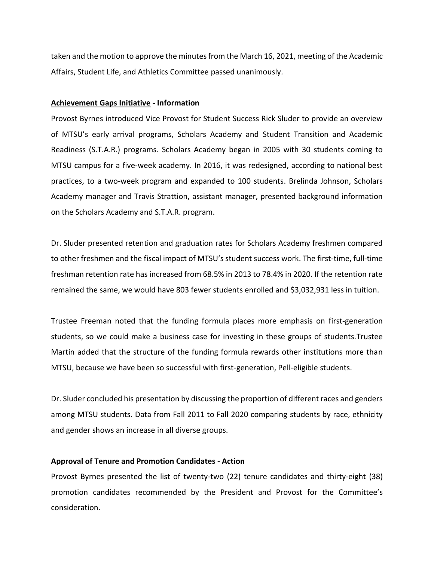taken and the motion to approve the minutes from the March 16, 2021, meeting of the Academic Affairs, Student Life, and Athletics Committee passed unanimously.

#### **Achievement Gaps Initiative - Information**

Provost Byrnes introduced Vice Provost for Student Success Rick Sluder to provide an overview of MTSU's early arrival programs, Scholars Academy and Student Transition and Academic Readiness (S.T.A.R.) programs. Scholars Academy began in 2005 with 30 students coming to MTSU campus for a five-week academy. In 2016, it was redesigned, according to national best practices, to a two-week program and expanded to 100 students. Brelinda Johnson, Scholars Academy manager and Travis Strattion, assistant manager, presented background information on the Scholars Academy and S.T.A.R. program.

Dr. Sluder presented retention and graduation rates for Scholars Academy freshmen compared to other freshmen and the fiscal impact of MTSU's student success work. The first-time, full-time freshman retention rate has increased from 68.5% in 2013 to 78.4% in 2020. If the retention rate remained the same, we would have 803 fewer students enrolled and \$3,032,931 less in tuition.

Trustee Freeman noted that the funding formula places more emphasis on first-generation students, so we could make a business case for investing in these groups of students.Trustee Martin added that the structure of the funding formula rewards other institutions more than MTSU, because we have been so successful with first-generation, Pell-eligible students.

Dr. Sluder concluded his presentation by discussing the proportion of different races and genders among MTSU students. Data from Fall 2011 to Fall 2020 comparing students by race, ethnicity and gender shows an increase in all diverse groups.

### **Approval of Tenure and Promotion Candidates - Action**

Provost Byrnes presented the list of twenty-two (22) tenure candidates and thirty-eight (38) promotion candidates recommended by the President and Provost for the Committee's consideration.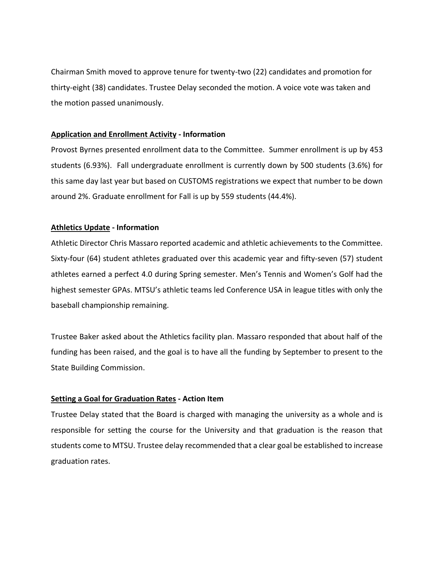Chairman Smith moved to approve tenure for twenty-two (22) candidates and promotion for thirty-eight (38) candidates. Trustee Delay seconded the motion. A voice vote was taken and the motion passed unanimously.

## **Application and Enrollment Activity - Information**

Provost Byrnes presented enrollment data to the Committee. Summer enrollment is up by 453 students (6.93%). Fall undergraduate enrollment is currently down by 500 students (3.6%) for this same day last year but based on CUSTOMS registrations we expect that number to be down around 2%. Graduate enrollment for Fall is up by 559 students (44.4%).

## **Athletics Update - Information**

Athletic Director Chris Massaro reported academic and athletic achievements to the Committee. Sixty-four (64) student athletes graduated over this academic year and fifty-seven (57) student athletes earned a perfect 4.0 during Spring semester. Men's Tennis and Women's Golf had the highest semester GPAs. MTSU's athletic teams led Conference USA in league titles with only the baseball championship remaining.

Trustee Baker asked about the Athletics facility plan. Massaro responded that about half of the funding has been raised, and the goal is to have all the funding by September to present to the State Building Commission.

## **Setting a Goal for Graduation Rates - Action Item**

Trustee Delay stated that the Board is charged with managing the university as a whole and is responsible for setting the course for the University and that graduation is the reason that students come to MTSU. Trustee delay recommended that a clear goal be established to increase graduation rates.